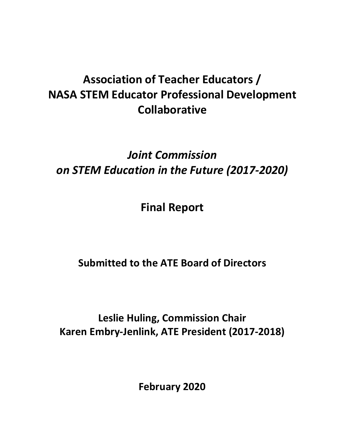# **Association of Teacher Educators / NASA STEM Educator Professional Development Collaborative**

## *Joint Commission on STEM Education in the Future (2017-2020)*

**Final Report**

**Submitted to the ATE Board of Directors**

**Leslie Huling, Commission Chair Karen Embry-Jenlink, ATE President (2017-2018)**

**February 2020**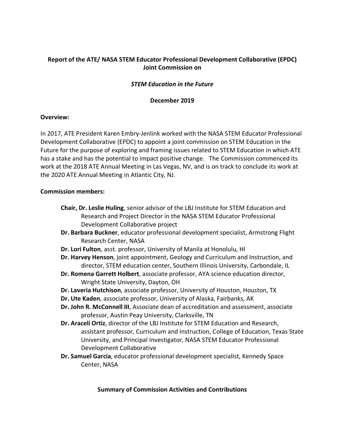## **Report of the ATE/ NASA STEM Educator Professional Development Collaborative (EPDC) Joint Commission on**

#### *STEM Education in the Future*

#### **December 2019**

#### **Overview:**

In 2017, ATE President Karen Embry-Jenlink worked with the NASA STEM Educator Professional Development Collaborative (EPDC) to appoint a joint commission on STEM Education in the Future for the purpose of exploring and framing issues related to STEM Education in which ATE has a stake and has the potential to impact positive change. The Commission commenced its work at the 2018 ATE Annual Meeting in Las Vegas, NV, and is on track to conclude its work at the 2020 ATE Annual Meeting in Atlantic City, NJ.

#### **Commission members:**

- **Chair, Dr. Leslie Huling**, senior advisor of the LBJ Institute for STEM Education and Research and Project Director in the NASA STEM Educator Professional Development Collaborative project
- **Dr. Barbara Buckner**, educator professional development specialist, Armstrong Flight Research Center, NASA
- **Dr. Lori Fulton**, asst. professor, University of Manila at Honolulu, HI
- **Dr. Harvey Henson**, joint appointment, Geology and Curriculum and Instruction, and director, STEM education center, Southern Illinois University, Carbondale, IL
- **Dr. Romena Garrett Holbert**, associate professor, AYA science education director, Wright State University, Dayton, OH
- **Dr. Laveria Hutchison**, associate professor, University of Houston, Houston, TX
- **Dr. Ute Kaden**, associate professor, University of Alaska, Fairbanks, AK
- **Dr. John R. McConnell III**, Associate dean of accreditation and assessment, associate professor, Austin Peay University, Clarksville, TN
- **Dr. Araceli Ortiz**, director of the LBJ Institute for STEM Education and Research, assistant professor, Curriculum and Instruction, College of Education, Texas State University, and Principal Investigator, NASA STEM Educator Professional Development Collaborative
- **Dr. Samuel Garcia**, educator professional development specialist, Kennedy Space Center, NASA

#### **Summary of Commission Activities and Contributions**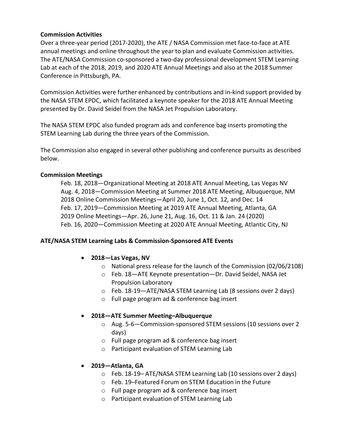#### **Commission Activities**

Over a three-year period (2017-2020), the ATE / NASA Commission met face-to-face at ATE annual meetings and online throughout the year to plan and evaluate Commission activities. The ATE/NASA Commission co-sponsored a two-day professional development STEM Learning Lab at each of the 2018, 2019, and 2020 ATE Annual Meetings and also at the 2018 Summer Conference in Pittsburgh, PA.

Commission Activities were further enhanced by contributions and in-kind support provided by the NASA STEM EPDC, which facilitated a keynote speaker for the 2018 ATE Annual Meeting presented by Dr. David Seidel from the NASA Jet Propulsion Laboratory.

The NASA STEM EPDC also funded program ads and conference bag inserts promoting the STEM Learning Lab during the three years of the Commission.

The Commission also engaged in several other publishing and conference pursuits as described below.

#### **Commission Meetings**

Feb. 18, 2018—Organizational Meeting at 2018 ATE Annual Meeting, Las Vegas NV Aug. 4, 2018—Commission Meeting at Summer 2018 ATE Meeting, Albuquerque, NM 2018 Online Commission Meetings—April 20, June 1, Oct. 12, and Dec. 14 Feb. 17, 2019—Commission Meeting at 2019 ATE Annual Meeting, Atlanta, GA 2019 Online Meetings—Apr. 26, June 21, Aug. 16, Oct. 11 & Jan. 24 (2020) Feb. 16, 2020—Commission Meeting at 2020 ATE Annual Meeting, Atlantic City, NJ

### **ATE/NASA STEM Learning Labs & Commission-Sponsored ATE Events**

#### • **2018—Las Vegas, NV**

- o National press release for the launch of the Commission (02/06/2108)
- o Feb. 18—ATE Keynote presentation—Dr. David Seidel, NASA Jet Propulsion Laboratory
- o Feb. 18-19—ATE/NASA STEM Learning Lab (8 sessions over 2 days)
- o Full page program ad & conference bag insert

#### • **2018—ATE Summer Meeting–Albuquerque**

- o Aug. 5-6—Commission-sponsored STEM sessions (10 sessions over 2 days)
- o Full page program ad & conference bag insert
- o Participant evaluation of STEM Learning Lab
- **2019—Atlanta, GA**
	- o Feb. 18-19– ATE/NASA STEM Learning Lab (10 sessions over 2 days)
	- o Feb. 19–Featured Forum on STEM Education in the Future
	- o Full page program ad & conference bag insert
	- o Participant evaluation of STEM Learning Lab